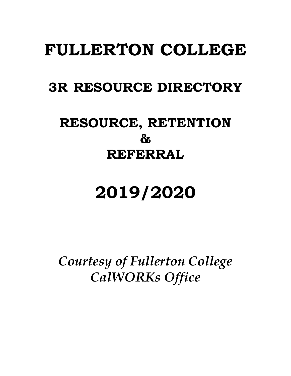# **FULLERTON COLLEGE**

# **3R RESOURCE DIRECTORY**

# **RESOURCE, RETENTION & REFERRAL**

# **2019/2020**

*Courtesy of Fullerton College CalWORKs Office*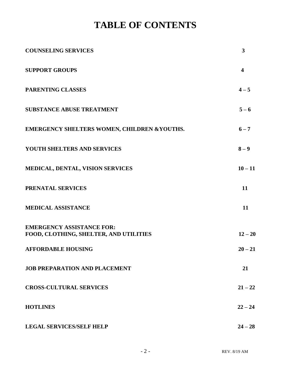## **TABLE OF CONTENTS**

| <b>COUNSELING SERVICES</b>                                                 | 3                       |
|----------------------------------------------------------------------------|-------------------------|
| <b>SUPPORT GROUPS</b>                                                      | $\overline{\mathbf{4}}$ |
| PARENTING CLASSES                                                          | $4 - 5$                 |
| <b>SUBSTANCE ABUSE TREATMENT</b>                                           | $5 - 6$                 |
| EMERGENCY SHELTERS WOMEN, CHILDREN & YOUTHS.                               | $6 - 7$                 |
| <b>YOUTH SHELTERS AND SERVICES</b>                                         | $8 - 9$                 |
| MEDICAL, DENTAL, VISION SERVICES                                           | $10 - 11$               |
| PRENATAL SERVICES                                                          | 11                      |
| <b>MEDICAL ASSISTANCE</b>                                                  | 11                      |
| <b>EMERGENCY ASSISTANCE FOR:</b><br>FOOD, CLOTHING, SHELTER, AND UTILITIES | $12 - 20$               |
| <b>AFFORDABLE HOUSING</b>                                                  | $20 - 21$               |
| <b>JOB PREPARATION AND PLACEMENT</b>                                       | 21                      |
| <b>CROSS-CULTURAL SERVICES</b>                                             | $21 - 22$               |
| <b>HOTLINES</b>                                                            | $22 - 24$               |
| <b>LEGAL SERVICES/SELF HELP</b>                                            | $24 - 28$               |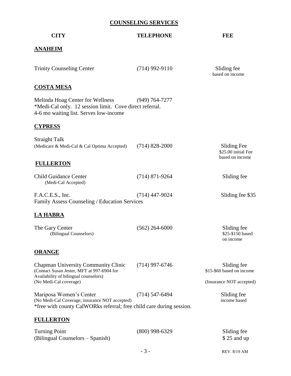### **COUNSELING SERVICES**

| <b>CITY</b>                                                                                                                                       | <b>TELEPHONE</b>   | FEE                                                   |
|---------------------------------------------------------------------------------------------------------------------------------------------------|--------------------|-------------------------------------------------------|
| <u>ANAHEIM</u>                                                                                                                                    |                    |                                                       |
| <b>Trinity Counseling Center</b>                                                                                                                  | $(714)$ 992-9110   | Sliding fee<br>based on income                        |
| <b>COSTA MESA</b>                                                                                                                                 |                    |                                                       |
| Melinda Hoag Center for Wellness<br>*Medi-Cal only. 12 session limit. Cove direct referral.<br>4-6 mo waiting list. Serves low-income             | $(949) 764 - 7277$ |                                                       |
| <b>CYPRESS</b>                                                                                                                                    |                    |                                                       |
| <b>Straight Talk</b><br>(Medicare & Medi-Cal & Cal Optima Accepted)                                                                               | $(714)$ 828-2000   | Sliding Fee<br>\$25.00 initial Fee<br>based on income |
| <b>FULLERTON</b>                                                                                                                                  |                    |                                                       |
| <b>Child Guidance Center</b><br>(Medi-Cal Accepted)                                                                                               | $(714)$ 871-9264   | Sliding fee                                           |
| F.A.C.E.S., Inc.<br>Family Assess Counseling / Education Services                                                                                 | $(714)$ 447-9024   | Sliding fee \$35                                      |
| <u>LA HABRA</u>                                                                                                                                   |                    |                                                       |
| The Gary Center<br>(Bilingual Counselors)                                                                                                         | $(562)$ 264-6000   | Sliding fee<br>\$25-\$150 based<br>on income          |
| <b>ORANGE</b>                                                                                                                                     |                    |                                                       |
| <b>Chapman University Community Clinic</b><br>(Contact Susan Jester, MFT at 997-6904 for<br>Availability of bilingual counselors)                 | $(714)$ 997-6746   | Sliding fee<br>\$15-\$60 based on income              |
| (No Medi-Cal coverage)                                                                                                                            |                    | (Insurance NOT accepted)                              |
| Mariposa Women's Center<br>(No Medi-Cal Coverage; insurance NOT accepted)<br>*free with county CalWORks referral; free child care during session. | $(714)$ 547-6494   | Sliding fee<br>income based                           |
| <b>FULLERTON</b>                                                                                                                                  |                    |                                                       |
| <b>Turning Point</b><br>(Bilingual Counselors - Spanish)                                                                                          | $(800)$ 998-6329   | Sliding fee<br>$$25$ and up                           |

- 3 - REV. 8/19 AM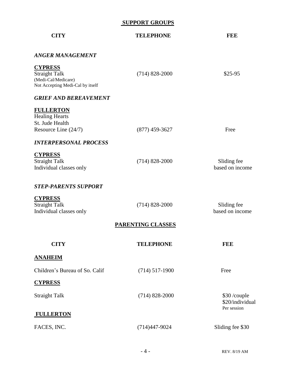| <b>SUPPORT GROUPS</b>                                                                             |                    |                                                |
|---------------------------------------------------------------------------------------------------|--------------------|------------------------------------------------|
| <b>CITY</b>                                                                                       | <b>TELEPHONE</b>   | FEE                                            |
| <b>ANGER MANAGEMENT</b>                                                                           |                    |                                                |
| <b>CYPRESS</b><br><b>Straight Talk</b><br>(Medi-Cal/Medicare)<br>Not Accepting Medi-Cal by itself | $(714)$ 828-2000   | \$25-95                                        |
| <b>GRIEF AND BEREAVEMENT</b>                                                                      |                    |                                                |
| <b>FULLERTON</b><br><b>Healing Hearts</b><br>St. Jude Health<br>Resource Line $(24/7)$            | $(877)$ 459-3627   | Free                                           |
| <b>INTERPERSONAL PROCESS</b>                                                                      |                    |                                                |
| <b>CYPRESS</b><br><b>Straight Talk</b><br>Individual classes only                                 | $(714)$ 828-2000   | Sliding fee<br>based on income                 |
| <b>STEP-PARENTS SUPPORT</b>                                                                       |                    |                                                |
| <b>CYPRESS</b><br><b>Straight Talk</b><br>Individual classes only                                 | $(714)$ 828-2000   | Sliding fee<br>based on income                 |
|                                                                                                   | PARENTING CLASSES  |                                                |
| <b>CITY</b>                                                                                       | <b>TELEPHONE</b>   | <b>FEE</b>                                     |
| <b>ANAHEIM</b>                                                                                    |                    |                                                |
| Children's Bureau of So. Calif                                                                    | $(714) 517 - 1900$ | Free                                           |
| <b>CYPRESS</b>                                                                                    |                    |                                                |
| <b>Straight Talk</b>                                                                              | $(714)$ 828-2000   | \$30 /couple<br>\$20/individual<br>Per session |
| <b>FULLERTON</b>                                                                                  |                    |                                                |
| FACES, INC.                                                                                       | $(714)447 - 9024$  | Sliding fee \$30                               |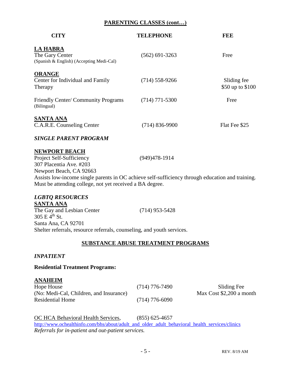#### **PARENTING CLASSES (cont…)**

| <b>CITY</b>                                                                                                                                                  | <b>TELEPHONE</b> | FEE                             |
|--------------------------------------------------------------------------------------------------------------------------------------------------------------|------------------|---------------------------------|
| <b>LA HABRA</b><br>The Gary Center<br>(Spanish & English) (Accepting Medi-Cal)                                                                               | $(562)$ 691-3263 | Free                            |
| <b>ORANGE</b><br>Center for Individual and Family<br>Therapy                                                                                                 | $(714)$ 558-9266 | Sliding fee<br>\$50 up to \$100 |
| Friendly Center/ Community Programs<br>(Bilingual)                                                                                                           | $(714)$ 771-5300 | Free                            |
| <b>SANTA ANA</b><br>C.A.R.E. Counseling Center                                                                                                               | $(714)$ 836-9900 | Flat Fee \$25                   |
| <b>SINGLE PARENT PROGRAM</b>                                                                                                                                 |                  |                                 |
| <b>NEWPORT BEACH</b><br>Project Self-Sufficiency<br>307 Placentia Ave. #203<br>Newport Beach, CA 92663                                                       | (949) 478-1914   |                                 |
| Assists low-income single parents in OC achieve self-sufficiency through education and training.<br>Must be attending college, not yet received a BA degree. |                  |                                 |
| <b>LGBTQ RESOURCES</b><br><b>SANTA ANA</b><br>The Gay and Lesbian Center<br>305 E $4^{th}$ St.                                                               | $(714)$ 953-5428 |                                 |

#### **SUBSTANCE ABUSE TREATMENT PROGRAMS**

Shelter referrals, resource referrals, counseling, and youth services.

#### *INPATIENT*

Santa Ana, CA 92701

#### **Residential Treatment Programs:**

#### **ANAHEIM**

Hope House (714) 776-7490 Sliding Fee (No: Medi-Cal, Children, and Insurance) Max Cost \$2,200 a month Residential Home (714) 776-6090

OC HCA Behavioral Health Services, (855) 625-4657 [http://www.ochealthinfo.com/bhs/about/adult\\_and\\_older\\_adult\\_behavioral\\_health\\_services/clinics](http://www.ochealthinfo.com/bhs/about/adult_and_older_adult_behavioral_health_services/clinics) *Referrals for in-patient and out-patient services.*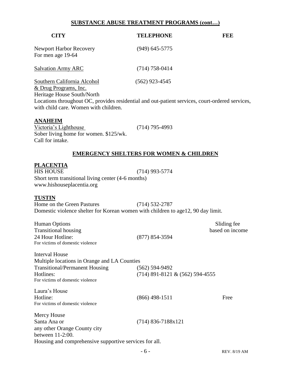### **SUBSTANCE ABUSE TREATMENT PROGRAMS (cont…)**

| <b>TELEPHONE</b>                                                                                                    | <b>FEE</b>                                             |
|---------------------------------------------------------------------------------------------------------------------|--------------------------------------------------------|
| $(949)$ 645-5775                                                                                                    |                                                        |
| $(714)$ 758-0414                                                                                                    |                                                        |
| $(562)$ 923-4545<br>Locations throughout OC, provides residential and out-patient services, court-ordered services, |                                                        |
| $(714)$ 795-4993                                                                                                    |                                                        |
| <b>EMERGENCY SHELTERS FOR WOMEN &amp; CHILDREN</b>                                                                  |                                                        |
| $(714)$ 993-5774<br>Short term transitional living center (4-6 months)                                              |                                                        |
| $(714) 532 - 2787$<br>Domestic violence shelter for Korean women with children to age12, 90 day limit.              |                                                        |
| $(877) 854 - 3594$                                                                                                  | Sliding fee<br>based on income                         |
| Multiple locations in Orange and LA Counties<br>$(562) 594 - 9492$<br>$(714)$ 891-8121 & (562) 594-4555             |                                                        |
| $(866)$ 498-1511                                                                                                    | Free                                                   |
| $(714)$ 836-7188x121                                                                                                |                                                        |
|                                                                                                                     | Housing and comprehensive supportive services for all. |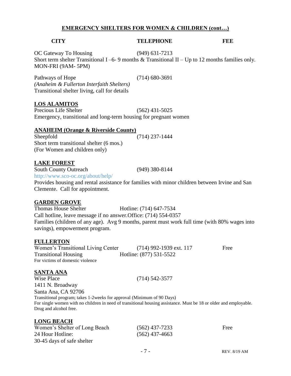#### **EMERGENCY SHELTERS FOR WOMEN & CHILDREN (cont…)**

**CITY TELEPHONE FEE**

OC Gateway To Housing (949) 631-7213 Short term shelter Transitional I-6- 9 months  $&$  Transitional II – Up to 12 months families only. MON-FRI (9AM- 5PM)

Pathways of Hope (714) 680-3691 *(Anaheim & Fullerton Interfaith Shelters)* Transitional shelter living, call for details

#### **LOS ALAMITOS**

Precious Life Shelter (562) 431-5025 Emergency, transitional and long-term housing for pregnant women

#### **ANAHEIM (Orange & Riverside County)**

Sheepfold (714) 237-1444 Short term transitional shelter (6 mos.) (For Women and children only)

#### **LAKE FOREST**

South County Outreach (949) 380-8144 http://www.sco-oc.org/about/help/

Provides housing and rental assistance for families with minor children between Irvine and San Clemente. Call for appointment.

#### **GARDEN GROVE**

Thomas House Shelter Hotline: (714) 647-7534 Call hotline, leave message if no answer.Office: (714) 554-0357 Families (children of any age). Avg 9 months, parent must work full time (with 80% wages into savings), empowerment program.

#### **FULLERTON**

Women's Transitional Living Center (714) 992-1939 ext. 117 Free Transitional Housing Hotline: (877) 531-5522 For victims of domestic violence

#### **SANTA ANA**

Wise Place (714) 542-3577 1411 N. Broadway Santa Ana, CA 92706 Transitional program; takes 1-2weeks for approval (Minimum of 90 Days) For single women with no children in need of transitional housing assistance. Must be 18 or older and employable. Drug and alcohol free.

#### **LONG BEACH**

| Women's Shelter of Long Beach | $(562)$ 437-7233 | Free |
|-------------------------------|------------------|------|
| 24 Hour Hotline:              | $(562)$ 437-4663 |      |
| 30-45 days of safe shelter    |                  |      |

- 7 - REV. 8/19 AM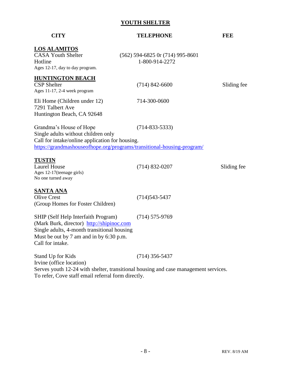| <b>CITY</b>                                                                                                                                                                                    | <b>TELEPHONE</b>                                   | <b>FEE</b>  |
|------------------------------------------------------------------------------------------------------------------------------------------------------------------------------------------------|----------------------------------------------------|-------------|
| <b>LOS ALAMITOS</b><br><b>CASA Youth Shelter</b><br>Hotline<br>Ages 12-17, day to day program.                                                                                                 | (562) 594-6825 0r (714) 995-8601<br>1-800-914-2272 |             |
| <b>HUNTINGTON BEACH</b><br><b>CSP</b> Shelter<br>Ages 11-17, 2-4 week program                                                                                                                  | $(714)$ 842-6600                                   | Sliding fee |
| Eli Home (Children under 12)<br>7291 Talbert Ave<br>Huntington Beach, CA 92648                                                                                                                 | 714-300-0600                                       |             |
| Grandma's House of Hope<br>Single adults without children only<br>Call for intake/online application for housing.<br>https://grandmashouseofhope.org/programs/transitional-housing-program/    | $(714 - 833 - 5333)$                               |             |
| <b>TUSTIN</b><br><b>Laurel House</b><br>Ages 12-17(teenage girls)<br>No one turned away                                                                                                        | $(714)$ 832-0207                                   | Sliding fee |
| <b>SANTA ANA</b><br><b>Olive Crest</b><br>(Group Homes for Foster Children)                                                                                                                    | $(714)543 - 5437$                                  |             |
| SHIP (Self Help Interfaith Program)<br>(Mark Burk, director) http://shipinoc.com<br>Single adults, 4-month transitional housing<br>Must be out by 7 am and in by 6:30 p.m.<br>Call for intake. | $(714) 575 - 9769$                                 |             |
| Stand Up for Kids<br>Irvine (office location)<br>Serves youth 12-24 with shelter, transitional housing and case management services.                                                           | $(714)$ 356-5437                                   |             |

**YOUTH SHELTER**

To refer, Cove staff email referral form directly.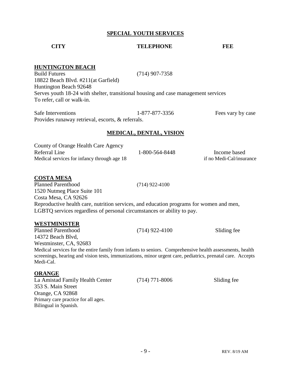#### **SPECIAL YOUTH SERVICES**

#### **CITY TELEPHONE FEE**

#### **HUNTINGTON BEACH**

Build Futures (714) 907-7358 18822 Beach Blvd. #211(at Garfield) Huntington Beach 92648 Serves youth 18-24 with shelter, transitional housing and case management services To refer, call or walk-in.

| Safe Interventions                                | 1-877-877-3356 | Fees vary by case |
|---------------------------------------------------|----------------|-------------------|
| Provides runaway retrieval, escorts, & referrals. |                |                   |

#### **MEDICAL, DENTAL, VISION**

| County of Orange Health Care Agency         |                |                          |
|---------------------------------------------|----------------|--------------------------|
| Referral Line                               | 1-800-564-8448 | Income based             |
| Medical services for infancy through age 18 |                | if no Medi-Cal/insurance |

#### **COSTA MESA**

Planned Parenthood (714) 922-4100 1520 Nutmeg Place Suite 101 Costa Mesa, CA 92626 Reproductive health care, nutrition services, and education programs for women and men, LGBTQ services regardless of personal circumstances or ability to pay.

#### **WESTMINISTER**

Planned Parenthood (714) 922-4100 Sliding fee 14372 Beach Blvd, Westminster, CA, 92683 Medical services for the entire family from infants to seniors. Comprehensive health assessments, health screenings, hearing and vision tests, immunizations, minor urgent care, pediatrics, prenatal care. Accepts Medi-Cal.

#### **ORANGE**

La Amistad Family Health Center (714) 771-8006 Sliding fee 353 S. Main Street Orange, CA 92868 Primary care practice for all ages. Bilingual in Spanish.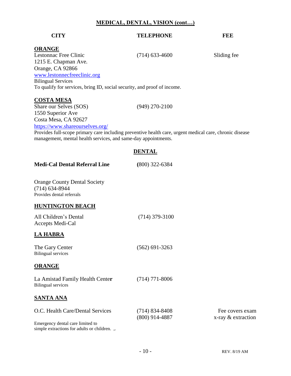#### **MEDICAL, DENTAL, VISION (cont…)**

#### **CITY TELEPHONE FEE**

#### **ORANGE**

Lestonnac Free Clinic (714) 633-4600 Sliding fee

1215 E. Chapman Ave. Orange, CA 92866 [www.lestonnecfreeclinic.org](http://www.lestonnecfreeclinic.org/) Bilingual Services To qualify for services, bring ID, social security, and proof of income.

#### **COSTA MESA**

Share our Selves (SOS) (949) 270-2100 1550 Superior Ave Costa Mesa, CA 92627 <https://www.shareourselves.org/> Provides full-scope primary care including preventive health care, urgent medical care, chronic disease management, mental health services, and same-day appointments.

#### **DENTAL**

| <b>Medi-Cal Dental Referral Line</b>                                                 | $(800)$ 322-6384                     |                                       |
|--------------------------------------------------------------------------------------|--------------------------------------|---------------------------------------|
| <b>Orange County Dental Society</b><br>$(714)$ 634-8944<br>Provides dental referrals |                                      |                                       |
| <b>HUNTINGTON BEACH</b>                                                              |                                      |                                       |
| All Children's Dental<br>Accepts Medi-Cal                                            | $(714)$ 379-3100                     |                                       |
| <b>LA HABRA</b>                                                                      |                                      |                                       |
| The Gary Center<br><b>Bilingual services</b>                                         | $(562)$ 691-3263                     |                                       |
| <b>ORANGE</b>                                                                        |                                      |                                       |
| La Amistad Family Health Center<br><b>Bilingual services</b>                         | $(714)$ 771-8006                     |                                       |
| <b>SANTA ANA</b>                                                                     |                                      |                                       |
| O.C. Health Care/Dental Services                                                     | $(714)$ 834-8408<br>$(800)$ 914-4887 | Fee covers exam<br>x-ray & extraction |
| Emergency dental care limited to<br>simple extractions for adults or children        |                                      |                                       |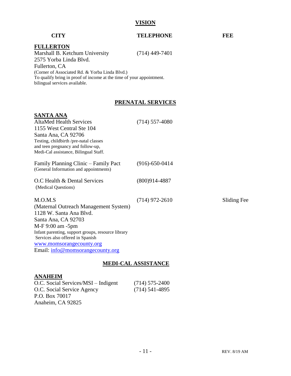#### **VISION**

#### **CITY TELEPHONE FEE**

#### **FULLERTON**

Marshall B. Ketchum University (714) 449-7401 2575 Yorba Linda Blvd. Fullerton, CA (Corner of Associated Rd. & Yorba Linda Blvd.) To qualify bring in proof of income at the time of your appointment. bilingual services available.

### **PRENATAL SERVICES**

#### **SANTA ANA**

| AltaMed Health Services<br>1155 West Central Ste 104<br>Santa Ana, CA 92706<br>Testing, childbirth /pre-natal classes<br>and teen pregnancy and follow-up,<br>Medi-Cal assistance, Bilingual Staff.                                                                                   | $(714)$ 557-4080     |             |
|---------------------------------------------------------------------------------------------------------------------------------------------------------------------------------------------------------------------------------------------------------------------------------------|----------------------|-------------|
| Family Planning Clinic – Family Pact<br>(General Information and appointments)                                                                                                                                                                                                        | $(916) - 650 - 0414$ |             |
| O.C Health & Dental Services<br>(Medical Questions)                                                                                                                                                                                                                                   | $(800)914-4887$      |             |
| M.O.M.S<br>(Maternal Outreach Management System)<br>1128 W. Santa Ana Blvd.<br>Santa Ana, CA 92703<br>$M-F 9:00$ am $-5$ pm<br>Infant parenting, support groups, resource library<br>Services also offered in Spanish<br>www.momsorangecounty.org<br>Email: info@momsorangecounty.org | $(714)$ 972-2610     | Sliding Fee |

#### **MEDI-CAL ASSISTANCE**

### **ANAHEIM**

| O.C. Social Services/MSI – Indigent | $(714)$ 575-2400 |
|-------------------------------------|------------------|
| O.C. Social Service Agency          | $(714)$ 541-4895 |
| P.O. Box 70017                      |                  |
| Anaheim, CA 92825                   |                  |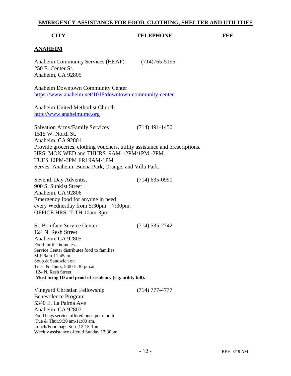**CITY TELEPHONE FEE**

#### **ANAHEIM**

Anaheim Community Services (HEAP) (714)765-5195 250 E. Center St. Anaheim, CA 92805

Anaheim Downtown Community Center <https://www.anaheim.net/1018/downtown-community-center>

Anaheim United Methodist Church [http://www.anaheimumc.org](http://www.anaheimumc.org/)

Salvation Army/Family Services (714) 491-1450 1515 W. North St. Anaheim, CA 92801 Provide groceries, clothing vouchers, utility assistance and prescriptions. HRS: MON WED and THURS 9AM-12PM/1PM -2PM. TUES 12PM-3PM FRI 9AM-1PM Serves: Anaheim, Buena Park, Orange, and Villa Park.

Seventh Day Adventist (714) 635-0990 900 S. Sunkist Street Anaheim, CA 92806 Emergency food for anyone in need every Wednesday from 5:30pm – 7:30pm. OFFICE HRS: T-TH 10am-3pm.

St. Boniface Service Center (714) 535-2742 124 N. Resh Street Anaheim, CA 92805 Food for the homeless. Service Center distributes food to families M-F 9am-11:45am Soup & Sandwich on Tues. & Thurs. 5:00-5:30 pm.at 124 N. Resh Street. **Must bring ID and proof of residency (e.g. utility bill).**

Vineyard Christian Fellowship (714) 777-4777 Benevolence Program 5340 E. La Palma Ave Anaheim, CA 92807 Food bags service offered once per month Tue & Thur.9:30 am-11:00 am. Lunch/Food bags Sun.-12:15-1pm. Weekly assistance offered Sunday 12:30pm.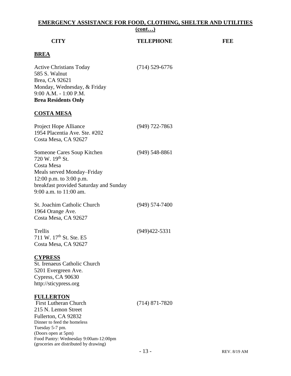| <b>CITY</b>                                                                                                                                                                                                                                                | <b>TELEPHONE</b>  | FEE |
|------------------------------------------------------------------------------------------------------------------------------------------------------------------------------------------------------------------------------------------------------------|-------------------|-----|
| <b>BREA</b>                                                                                                                                                                                                                                                |                   |     |
| <b>Active Christians Today</b><br>585 S. Walnut<br>Brea, CA 92621<br>Monday, Wednesday, & Friday<br>9:00 A.M. - 1:00 P.M.<br><b>Brea Residents Only</b>                                                                                                    | $(714)$ 529-6776  |     |
| <b>COSTA MESA</b>                                                                                                                                                                                                                                          |                   |     |
| Project Hope Alliance<br>1954 Placentia Ave. Ste. #202<br>Costa Mesa, CA 92627                                                                                                                                                                             | $(949)$ 722-7863  |     |
| Someone Cares Soup Kitchen<br>720 W. 19th St.<br>Costa Mesa<br>Meals served Monday-Friday<br>12:00 p.m. to $3:00$ p.m.<br>breakfast provided Saturday and Sunday<br>9:00 a.m. to 11:00 am.                                                                 | $(949)$ 548-8861  |     |
| St. Joachim Catholic Church<br>1964 Orange Ave.<br>Costa Mesa, CA 92627                                                                                                                                                                                    | $(949)$ 574-7400  |     |
| Trellis<br>711 W. 17 <sup>th</sup> St. Ste. E5<br>Costa Mesa, CA 92627                                                                                                                                                                                     | $(949)422 - 5331$ |     |
| <b>CYPRESS</b><br>St. Irenaeus Catholic Church<br>5201 Evergreen Ave.<br>Cypress, CA 90630<br>http://sticypress.org                                                                                                                                        |                   |     |
| <b>FULLERTON</b><br><b>First Lutheran Church</b><br>215 N. Lemon Street<br>Fullerton, CA 92832<br>Dinner to feed the homeless<br>Tuesday 5-7 pm.<br>(Doors open at 5pm)<br>Food Pantry: Wednesday 9:00am-12:00pm<br>(groceries are distributed by drawing) | $(714)$ 871-7820  |     |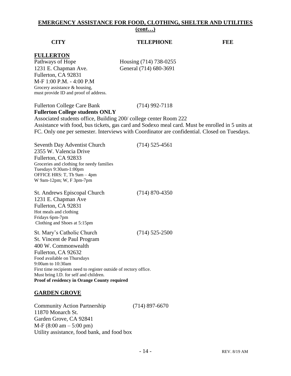#### **CITY TELEPHONE FEE**

#### **FULLERTON**

Pathways of Hope Housing (714) 738-0255 1231 E. Chapman Ave. General (714) 680-3691 Fullerton, CA 92831 M-F 1:00 P.M. - 4:00 P.M Grocery assistance & housing, must provide ID and proof of address.

#### Fullerton College Care Bank (714) 992-7118 **Fullerton College students ONLY**

Associated students office, Building 200/ college center Room 222 Assistance with food, bus tickets, gas card and Sodexo meal card. Must be enrolled in 5 units at FC. Only one per semester. Interviews with Coordinator are confidential. Closed on Tuesdays.

Seventh Day Adventist Church (714) 525-4561 2355 W. Valencia Drive Fullerton, CA 92833 Groceries and clothing for needy families Tuesdays 9:30am-1:00pm OFFICE HRS: T, Th 9am – 4pm W 9am-12pm; W, F 3pm-7pm

St. Andrews Episcopal Church (714) 870-4350 1231 E. Chapman Ave Fullerton, CA 92831 Hot meals and clothing Fridays 6pm-7pm Clothing and Shoes at 5:15pm

St. Mary's Catholic Church (714) 525-2500 St. Vincent de Paul Program 400 W. Commonwealth Fullerton, CA 92632 Food available on Thursdays 9:00am to 10:30am First time recipients need to register outside of rectory office. Must bring I.D. for self and children. **Proof of residency in Orange County required**

#### **GARDEN GROVE**

Community Action Partnership (714) 897-6670 11870 Monarch St. Garden Grove, CA 92841 M-F (8:00 am – 5:00 pm) Utility assistance, food bank, and food box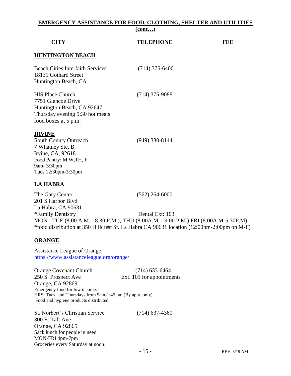|                                                                                                                                                                                                        | $\frac{1}{2}$    |            |
|--------------------------------------------------------------------------------------------------------------------------------------------------------------------------------------------------------|------------------|------------|
| <b>CITY</b>                                                                                                                                                                                            | <b>TELEPHONE</b> | <b>FEE</b> |
| <b>HUNTINGTON BEACH</b>                                                                                                                                                                                |                  |            |
| <b>Beach Cities Interfaith Services</b><br>18131 Gothard Street<br>Huntington Beach, CA                                                                                                                | $(714)$ 375-6400 |            |
| <b>HIS Place Church</b><br>7751 Glencoe Drive<br>Huntington Beach, CA 92647<br>Thursday evening 5:30 hot meals<br>food boxes at 5 p.m.                                                                 | $(714)$ 375-9088 |            |
| <b>IRVINE</b><br>South County Outreach<br>7 Whatney Ste. B<br>Irvine, CA, 92618<br>Food Pantry: M,W,TH, F<br>9am-3:30pm<br>Tues.12:30pm-3:30pm                                                         | $(949)$ 380-8144 |            |
| <b>LA HABRA</b>                                                                                                                                                                                        |                  |            |
| The Gary Center<br>201 S Harbor Blvd<br>La Habra, CA 90631                                                                                                                                             | $(562)$ 264-6000 |            |
| *Family Dentistry<br>MON - TUE (8:00 A.M. - 8:30 P.M.); THU (8:00A.M. - 9:00 P.M.) FRI (8:00A.M-5:30P.M)<br>*food distribution at 350 Hillcrest St. La Habra CA 90631 location (12:00pm-2:00pm on M-F) | Dental Ext: 103  |            |
| <b>ORANGE</b>                                                                                                                                                                                          |                  |            |
| Assistance League of Orange                                                                                                                                                                            |                  |            |

<https://www.assistanceleague.org/orange/>

Orange Covenant Church (714) 633-6464 250 S. Prospect Ave Ext. 101 for appointments Orange, CA 92869 Emergency food for low income. HRS: Tues. and Thursdays from 9am-1:45 pm (By appt. only) Food and hygiene products distributed.

St. Norbert's Christian Service (714) 637-4360 300 E. Taft Ave Orange, CA 92865 Sack lunch for people in need MON-FRI 4pm-7pm Groceries every Saturday at noon.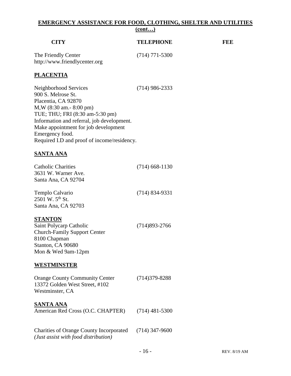| <b>CITY</b>                                          | <b>TELEPHONE</b> | FEE |
|------------------------------------------------------|------------------|-----|
| The Friendly Center<br>http://www.friendlycenter.org | $(714)$ 771-5300 |     |

#### **PLACENTIA**

Neighborhood Services (714) 986-2333 900 S. Melrose St. Placentia, CA 92870 M,W (8:30 am.- 8:00 pm) TUE; THU; FRI (8:30 am-5:30 pm) Information and referral, job development. Make appointment for job development Emergency food. Required I.D and proof of income/residency.

#### **SANTA ANA**

| <b>Catholic Charities</b><br>3631 W. Warner Ave.<br>Santa Ana, CA 92704                                                                     | $(714)$ 668-1130   |
|---------------------------------------------------------------------------------------------------------------------------------------------|--------------------|
| Templo Calvario<br>2501 W. 5 <sup>th</sup> St.<br>Santa Ana, CA 92703                                                                       | $(714) 834 - 9331$ |
| <b>STANTON</b><br>Saint Polycarp Catholic<br><b>Church-Family Support Center</b><br>8100 Chapman<br>Stanton, CA 90680<br>Mon & Wed 9am-12pm | $(714)893-2766$    |
| <b>WESTMINSTER</b><br><b>Orange County Community Center</b><br>13372 Golden West Street, #102<br>Westminster, CA                            | $(714)379 - 8288$  |
| <b>SANTA ANA</b><br>American Red Cross (O.C. CHAPTER)                                                                                       | $(714)$ 481-5300   |
| <b>Charities of Orange County Incorporated</b><br>(Just assist with food distribution)                                                      | $(714)$ 347-9600   |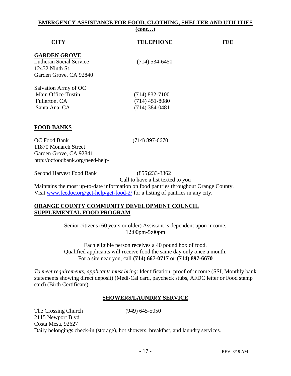| <b>CITY</b>                    | <b>TELEPHONE</b> | FEE |
|--------------------------------|------------------|-----|
| <b>GARDEN GROVE</b>            |                  |     |
| <b>Lutheran Social Service</b> | $(714)$ 534-6450 |     |
| 12432 Ninth St.                |                  |     |
| Garden Grove, CA 92840         |                  |     |
| Salvation Army of OC           |                  |     |
| Main Office-Tustin             | $(714)$ 832-7100 |     |
| Fullerton, CA                  | $(714)$ 451-8080 |     |
| Santa Ana, CA                  | $(714)$ 384-0481 |     |
| <b>FOOD BANKS</b>              |                  |     |
|                                |                  |     |
| OC Food Bank                   | $(714)$ 897-6670 |     |
| 11870 Monarch Street           |                  |     |
| Garden Grove, CA 92841         |                  |     |

Second Harvest Food Bank (855)233-3362

<http://ocfoodbank.org/need-help/>

Call to have a list texted to you

Maintains the most up-to-date information on food pantries throughout Orange County. Visit [www.feedoc.org/get-help/get-food-2/](http://www.feedoc.org/get-help/get-food-2/) for a listing of pantries in any city.

#### **ORANGE COUNTY COMMUNITY DEVELOPMENT COUNCIL SUPPLEMENTAL FOOD PROGRAM**

Senior citizens (60 years or older) Assistant is dependent upon income. 12:00pm-5:00pm

Each eligible person receives a 40 pound box of food. Qualified applicants will receive food the same day only once a month. For a site near you, call **(714) 667-0717 or (714) 897-6670**

*To meet requirements, applicants must bring*: Identification; proof of income (SSI, Monthly bank statements showing direct deposit) (Medi-Cal card, paycheck stubs, AFDC letter or Food stamp card) (Birth Certificate)

#### **SHOWERS/LAUNDRY SERVICE**

The Crossing Church (949) 645-5050 2115 Newport Blvd Costa Mesa, 92627 Daily belongings check-in (storage), hot showers, breakfast, and laundry services.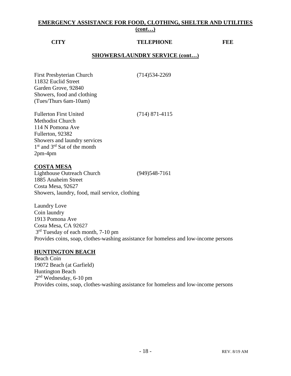#### **CITY TELEPHONE FEE**

#### **SHOWERS/LAUNDRY SERVICE (cont…)**

First Presbyterian Church (714)534-2269 11832 Euclid Street Garden Grove, 92840 Showers, food and clothing (Tues/Thurs 6am-10am)

Fullerton First United (714) 871-4115 Methodist Church 114 N Pomona Ave Fullerton, 92382 Showers and laundry services 1<sup>st</sup> and 3<sup>rd</sup> Sat of the month 2pm-4pm

#### **COSTA MESA**

Lighthouse Outreach Church (949)548-7161 1885 Anaheim Street Costa Mesa, 92627 Showers, laundry, food, mail service, clothing

Laundry Love Coin laundry 1913 Pomona Ave Costa Mesa, CA 92627 3<sup>rd</sup> Tuesday of each month, 7-10 pm Provides coins, soap, clothes-washing assistance for homeless and low-income persons

#### **HUNTINGTON BEACH**

Beach Coin 19072 Beach (at Garfield) Huntington Beach 2<sup>nd</sup> Wednesday, 6-10 pm Provides coins, soap, clothes-washing assistance for homeless and low-income persons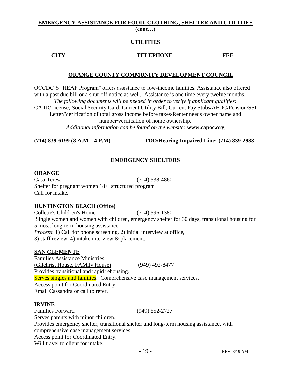#### **UTILITIES**

#### **CITY TELEPHONE FEE**

#### **ORANGE COUNTY COMMUNITY DEVELOPMENT COUNCIL**

OCCDC'S "HEAP Program" offers assistance to low-income families. Assistance also offered with a past due bill or a shut-off notice as well. Assistance is one time every twelve months. *The following documents will be needed in order to verify if applicant qualifies:*

CA ID/License; Social Security Card; Current Utility Bill; Current Pay Stubs/AFDC/Pension/SSI Letter/Verification of total gross income before taxes/Renter needs owner name and number/verification of home ownership.

*Additional information can be found on the website:* **www.capoc.org**

**(714) 839-6199 (8 A.M – 4 P.M) TDD/Hearing Impaired Line: (714) 839-2983**

### **EMERGENCY SHELTERS**

#### **ORANGE**

Casa Teresa (714) 538-4860 Shelter for pregnant women 18+, structured program Call for intake.

#### **HUNTINGTON BEACH (Office)**

Collette's Children's Home (714) 596-1380 Single women and women with children, emergency shelter for 30 days, transitional housing for 5 mos., long-term housing assistance. *Process*: 1) Call for phone screening, 2) initial interview at office, 3) staff review, 4) intake interview & placement.

#### **SAN CLEMENTE**

Families Assistance Ministries (Gilchrist House, FAMily House) (949) 492-8477 Provides transitional and rapid rehousing. Serves singles and families. Comprehensive case management services. Access point for Coordinated Entry Email Cassandra or call to refer.

#### **IRVINE**

Families Forward (949) 552-2727 Serves parents with minor children. Provides emergency shelter, transitional shelter and long-term housing assistance, with comprehensive case management services. Access point for Coordinated Entry. Will travel to client for intake.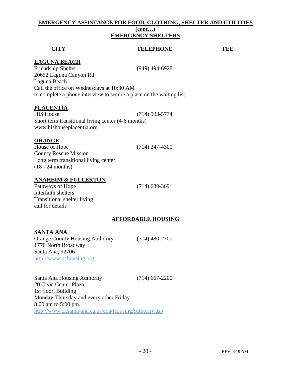#### **EMERGENCY ASSISTANCE FOR FOOD, CLOTHING, SHELTER AND UTILITIES (cont…) EMERGENCY SHELTERS**

#### **CITY TELEPHONE FEE**

#### **LAGUNA BEACH**

Friendship Shelter (949) 494-6928

20652 Laguna Canyon Rd Laguna Beach Call the office on Wednesdays at 10:30 AM to complete a phone interview to secure a place on the waiting list.

### **PLACENTIA**

HIS House (714) 993-5774 Short term transitional living center (4-6 months) www.hishouseplacentia.org

#### **ORANGE**

House of Hope (714) 247-4300 County Rescue Mission Long term transitional living center (18 - 24 months)

### **ANAHEIM & FULLERTON**

Pathways of Hope (714) 680-3691 Interfaith shelters Transitional shelter living call for details

### **AFFORDABLE HOUSING**

### **SANTA ANA**

Orange County Housing Authority (714) 480-2700 1770 North Broadway Santa Ana, 92706 [http://www.ochousing.org](http://www.ochousing.org/)

Santa Ana Housing Authority (714) 667-2200 20 Civic Center Plaza 1st floor, Building Monday-Thursday and every other Friday 8:00 am to 5:00 pm. <http://www.ci.santa-ana.ca.us/cda/HousingAuthority.asp>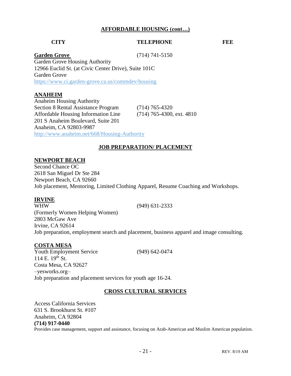#### **AFFORDABLE HOUSING (cont…)**

#### **CITY TELEPHONE FEE**

**Garden Grove** (714) 741-5150

Garden Grove Housing Authority 12966 Euclid St. (at Civic Center Drive), Suite 101C Garden Grove <https://www.ci.garden-grove.ca.us/commdev/housing>

#### **ANAHEIM**

Anaheim Housing Authority Section 8 Rental Assistance Program (714) 765-4320 Affordable Housing Information Line (714) 765-4300, ext. 4810 201 S Anaheim Boulevard, Suite 201 Anaheim, CA 92803-9987 <http://www.anaheim.net/668/Housing-Authority>

#### **JOB PREPARATION/ PLACEMENT**

#### **NEWPORT BEACH**

Second Chance OC 2618 San Miguel Dr Ste 284 Newport Beach, CA 92660 Job placement, Mentoring, Limited Clothing Apparel, Resume Coaching and Workshops.

#### **IRVINE**

WHW (949) 631-2333 (Formerly Women Helping Women) 2803 McGaw Ave Irvine, CA 92614 Job preparation, employment search and placement, business apparel and image consulting.

#### **COSTA MESA**

Youth Employment Service (949) 642-0474 114 E.  $19^{th}$  St. Costa Mesa, CA 92627 –yesworks.org– Job preparation and placement services for youth age 16-24.

#### **CROSS CULTURAL SERVICES**

Access California Services 631 S. Brookhurst St. #107 Anaheim, CA 92804 **(714) 917-0440** Provides case management, support and assistance, focusing on Arab-American and Muslim American population.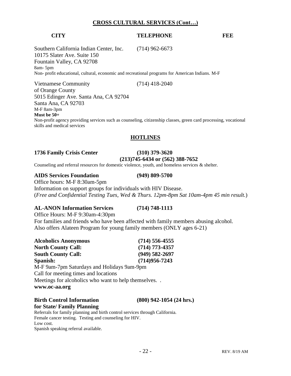#### **CROSS CULTURAL SERVICES (Cont…)**

#### **CITY TELEPHONE FEE**

Southern California Indian Center, Inc. (714) 962-6673 10175 Slater Ave. Suite 150 Fountain Valley, CA 92708 8am- 5pm Non- profit educational, cultural, economic and recreational programs for American Indians. M-F

Vietnamese Community (714) 418-2040 of Orange County 5015 Edinger Ave. Santa Ana, CA 92704 Santa Ana, CA 92703 M-F 8am-3pm **Must be 50+** Non-profit agency providing services such as counseling, citizenship classes, green card processing, vocational skills and medical services

#### **HOTLINES**

#### **1736 Family Crisis Center (310) 379-3620**

#### **(213)745-6434 or (562) 388-7652**

Counseling and referral resources for domestic violence, youth, and homeless services & shelter.

#### **AIDS Services Foundation (949) 809-5700**

Office hours: M-F 8:30am-5pm

Information on support groups for individuals with HIV Disease. (*Free and Confidential Testing Tues, Wed & Thurs. 12pm-8pm Sat 10am-4pm 45 min result.*)

#### **AL**-**ANON Information Services (714) 748-1113**

Office Hours: M-F 9:30am-4:30pm

For families and friends who have been affected with family members abusing alcohol. Also offers Alateen Program for young family members (ONLY ages 6-21)

| <b>Alcoholics Anonymous</b>                         | $(714)$ 556-4555   |
|-----------------------------------------------------|--------------------|
| <b>North County Call:</b>                           | $(714)$ 773-4357   |
| <b>South County Call:</b>                           | $(949) 582 - 2697$ |
| Spanish:                                            | $(714)956 - 7243$  |
| M-F 9am-7pm Saturdays and Holidays 9am-9pm          |                    |
| Call for meeting times and locations                |                    |
| Meetings for alcoholics who want to help themselves |                    |
| www.oc-aa.org                                       |                    |

#### **Birth Control Information (800) 942-1054 (24 hrs.) for State/ Family Planning**

Referrals for family planning and birth control services through California. Female cancer testing. Testing and counseling for HIV. Low cost.

Spanish speaking referral available.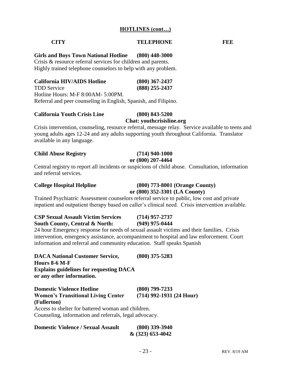#### **CITY TELEPHONE FEE**

#### **Girls and Boys Town National Hotline (800) 448-3000**

Crisis & resource referral services for children and parents. Highly trained telephone counselors to help with any problem.

| <b>California HIV/AIDS Hotline</b>                              | $(800)$ 367-2437 |
|-----------------------------------------------------------------|------------------|
| <b>TDD</b> Service                                              | $(888)$ 255-2437 |
| Hotline Hours: M-F 8:00AM- 5:00PM.                              |                  |
| Referral and peer counseling in English, Spanish, and Filipino. |                  |

#### **California Youth Crisis Line (800) 843-5200**

#### **Chat: youthcrisisline.org**

Crisis intervention, counseling, resource referral, message relay. Service available to teens and young adults ages 12-24 and any adults supporting youth throughout California. Translator available in any language.

### **Child Abuse Registry (714) 940-1000**

### **or (800) 207-4464**

Central registry to report all incidents or suspicions of child abuse. Consultation, information and referral services.

#### **College Hospital Helpline (800) 773-8001 (Orange County) or (800) 352-3301 (LA County)**

Trained Psychiatric Assessment counselors referral service to public, low cost and private inpatient and outpatient therapy based on caller's clinical need. Crisis intervention available.

| <b>CSP Sexual Assault Victim Services</b> | $(714)$ 957-2737 |
|-------------------------------------------|------------------|
| South County, Central & North:            | $(949)$ 975-0444 |

24 hour Emergency response for needs of sexual assault victims and their families. Crisis intervention, emergency assistance, accompaniment to hospital and law enforcement. Court information and referral and community education. Staff speaks Spanish

| <b>DACA National Customer Service,</b>                                      | $(800)$ 375-5283           |
|-----------------------------------------------------------------------------|----------------------------|
| Hours 8-6 M-F                                                               |                            |
| <b>Explains guidelines for requesting DACA</b><br>or any other information. |                            |
| <b>Domestic Violence Hotline</b>                                            | $(800)$ 799-7233           |
| <b>Women's Transitional Living Center</b>                                   | $(714)$ 992-1931 (24 Hour) |

**(Fullerton)**  Access to shelter for battered woman and children. Counseling, information and referrals, legal advocacy.

| <b>Domestic Violence / Sexual Assault</b> | $(800)$ 339-3940    |
|-------------------------------------------|---------------------|
|                                           | $\&$ (323) 653-4042 |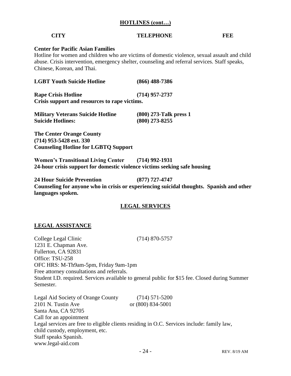#### **HOTLINES (cont…)**

#### **CITY TELEPHONE FEE**

#### **Center for Pacific Asian Families**

Hotline for women and children who are victims of domestic violence, sexual assault and child abuse. Crisis intervention, emergency shelter, counseling and referral services. Staff speaks, Chinese, Korean, and Thai.

| <b>LGBT Youth Suicide Hotline</b>             | $(866)$ 488-7386     |
|-----------------------------------------------|----------------------|
| <b>Rape Crisis Hotline</b>                    | $(714)$ 957-2737     |
| Crisis support and resources to rape victims. |                      |
| <b>Military Veterans Suicide Hotline</b>      | $(800)$ 273-Talk pre |

| <b>Military Veterans Suicide Hotline</b> | $(800)$ 273-Talk press 1 |
|------------------------------------------|--------------------------|
| <b>Suicide Hotlines:</b>                 | $(800)$ 273-8255         |

**The Center Orange County (714) 953-5428 ext. 330 Counseling Hotline for LGBTQ Support**

**Women's Transitional Living Center (714) 992-1931 24-hour crisis support for domestic violence victims seeking safe housing**

**24 Hour Suicide Prevention (877) 727-4747 Counseling for anyone who in crisis or experiencing suicidal thoughts. Spanish and other languages spoken.**

#### **LEGAL SERVICES**

#### **LEGAL ASSISTANCE**

College Legal Clinic (714) 870-5757 1231 E. Chapman Ave. Fullerton, CA 92831 Office: TSU-258 OFC HRS: M-Th9am-5pm, Friday 9am-1pm Free attorney consultations and referrals. Student I.D. required. Services available to general public for \$15 fee. Closed during Summer Semester.

Legal Aid Society of Orange County (714) 571-5200 2101 N. Tustin Ave or (800) 834-5001 Santa Ana, CA 92705 Call for an appointment Legal services are free to eligible clients residing in O.C. Services include: family law, child custody, employment, etc. Staff speaks Spanish. www.legal-aid.com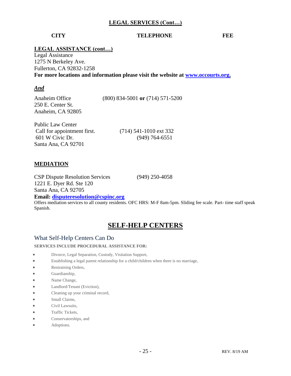#### **LEGAL SERVICES (Cont…)**

#### **CITY TELEPHONE FEE**

#### **LEGAL ASSISTANCE (cont…)**

Legal Assistance 1275 N Berkeley Ave. Fullerton, CA 92832-1258 **For more locations and information please visit the website at [www.occourts.org.](http://www.occourts.org/)**

#### *And*

Anaheim Office (800) 834-5001 **or** (714) 571-5200 250 E. Center St. Anaheim, CA 92805

Public Law Center Call for appointment first. (714) 541-1010 ext 332 601 W Civic Dr. (949) 764-6551 Santa Ana, CA 92701

#### **MEDIATION**

CSP Dispute Resolution Services (949) 250-4058 1221 E. Dyer Rd. Ste 120 Santa Ana, CA 92705

**Email: [disputeresolution@cspinc.org](mailto:disputeresolution@cspinc.org)**

Offers mediation services to all county residents. OFC HRS: M-F 8am-5pm. Sliding fee scale. Part- time staff speak Spanish.

### **SELF-HELP CENTERS**

#### What Self-Help Centers Can Do

**SERVICES INCLUDE PROCEDURAL ASSISTANCE FOR:**

- Divorce, Legal Separation, Custody, Visitation Support,
- Establishing a legal parent relationship for a child/children when there is no marriage,
- Restraining Orders,
- Guardianship,
- Name Change,
- Landlord/Tenant (Eviction),
- Cleaning up your criminal record,
- Small Claims,
- Civil Lawsuits,
- Traffic Tickets.
- Conservatorships, and
- Adoptions.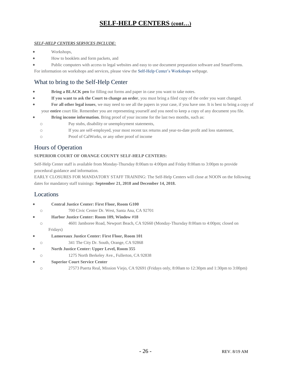### **SELF-HELP CENTERS (cont…)**

#### *SELF-HELP CENTERS SERVICES INCLUDE:*

- Workshops,
- How to booklets and form packets, and
- Public computers with access to legal websites and easy to use document preparation software and SmartForms.

For information on workshops and services, please view the [Self-Help Center's Workshops](https://www.occourts.org/self-help/shworkshops.html) webpage.

#### What to bring to the Self-Help Center

- **Bring a BLACK pen** for filling out forms and paper in case you want to take notes.
- **If you want to ask the Court to change an order**, you must bring a filed copy of the order you want changed.
- **For all other legal issues**, we may need to see all the papers in your case, if you have one. It is best to bring a copy of
- your **entire** court file. Remember you are representing yourself and you need to keep a copy of any document you file.
- **Bring income information.** Bring proof of your income for the last two months, such as:
	- o Pay stubs, disability or unemployment statements,
	- o If you are self-employed, your most recent tax returns and year-to-date profit and loss statement,
	- o Proof of CalWorks, or any other proof of income

#### Hours of Operation

#### **SUPERIOR COURT OF ORANGE COUNTY SELF-HELP CENTERS:**

Self-Help Center staff is available from Monday-Thursday 8:00am to 4:00pm and Friday 8:00am to 3:00pm to provide procedural guidance and information.

EARLY CLOSURES FOR MANDATORY STAFF TRAINING: The Self-Help Centers will close at NOON on the following dates for mandatory staff trainings: **September 21, 2018 and December 14, 2018.**

#### Locations

- **Central Justice Center: First Floor, Room G100**
- o 700 Civic Center Dr. West, Santa Ana, CA 92701
- **Harbor Justice Center: Room 109, Window #18**
- o 4601 Jamboree Road, Newport Beach, CA 92660 (Monday-Thursday 8:00am to 4:00pm; closed on Fridays)
- **Lamoreaux Justice Center: First Floor, Room 101**
- o 341 The City Dr. South, Orange, CA 92868
- **North Justice Center: Upper Level, Room 355**
	- o 1275 North Berkeley Ave., Fullerton, CA 92838
- **Superior Court Service Center**
	- o 27573 Puerta Real, Mission Viejo, CA 92691 (Fridays only, 8:00am to 12:30pm and 1:30pm to 3:00pm)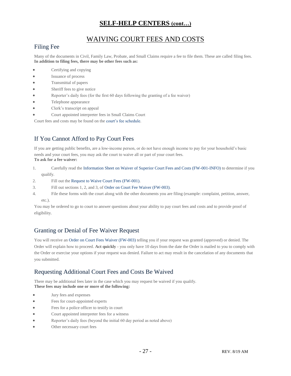### **SELF-HELP CENTERS (cont…)**

### WAIVING COURT FEES AND COSTS

### Filing Fee

Many of the documents in Civil, Family Law, Probate, and Small Claims require a fee to file them. These are called filing fees. **In addition to filing fees, there may be other fees such as:**

- Certifying and copying
- Issuance of process
- Transmittal of papers
- Sheriff fees to give notice
- Reporter's daily fees (for the first 60 days following the granting of a fee waiver)
- Telephone appearance
- Clerk's transcript on appeal
- Court appointed interpreter fees in Small Claims Court

Court fees and costs may be found on the [court's fee schedule.](https://www.occourts.org/general-public/fee-schedule/index.html)

### If You Cannot Afford to Pay Court Fees

If you are getting public benefits, are a low-income person, or do not have enough income to pay for your household's basic needs and your court fees, you may ask the court to waive all or part of your court fees. **To ask for a fee waiver:**

- 1. Carefully read the [Information Sheet on Waiver of Superior Court Fees and Costs \(FW-001-INFO\)](https://www.occourts.org/forms/local/l80.pdf) to determine if you qualify.
- 2. Fill out the [Request to Waive Court Fees \(FW-001\).](https://www.occourts.org/forms/local/l80.pdf)
- 3. Fill out sections 1, 2, and 3, of [Order on Court Fee Waiver \(FW-003\).](https://www.occourts.org/forms/local/l80.pdf)
- 4. File these forms with the court along with the other documents you are filing (example: complaint, petition, answer, etc.).

You may be ordered to go to court to answer questions about your ability to pay court fees and costs and to provide proof of eligibility.

### Granting or Denial of Fee Waiver Request

You will receive an [Order on Court Fees Waiver \(FW-003\)](https://www.occourts.org/forms/local/l80.pdf) telling you if your request was granted (approved) or denied. The Order will explain how to proceed. **Act quickly** - you only have 10 days from the date the Order is mailed to you to comply with the Order or exercise your options if your request was denied. Failure to act may result in the cancelation of any documents that you submitted.

### Requesting Additional Court Fees and Costs Be Waived

There may be additional fees later in the case which you may request be waived if you qualify. **These fees may include one or more of the following:**

- Jury fees and expenses
- Fees for court-appointed experts
- Fees for a police officer to testify in court
- Court appointed interpreter fees for a witness
- Reporter's daily fees (beyond the initial 60 day period as noted above)
- Other necessary court fees